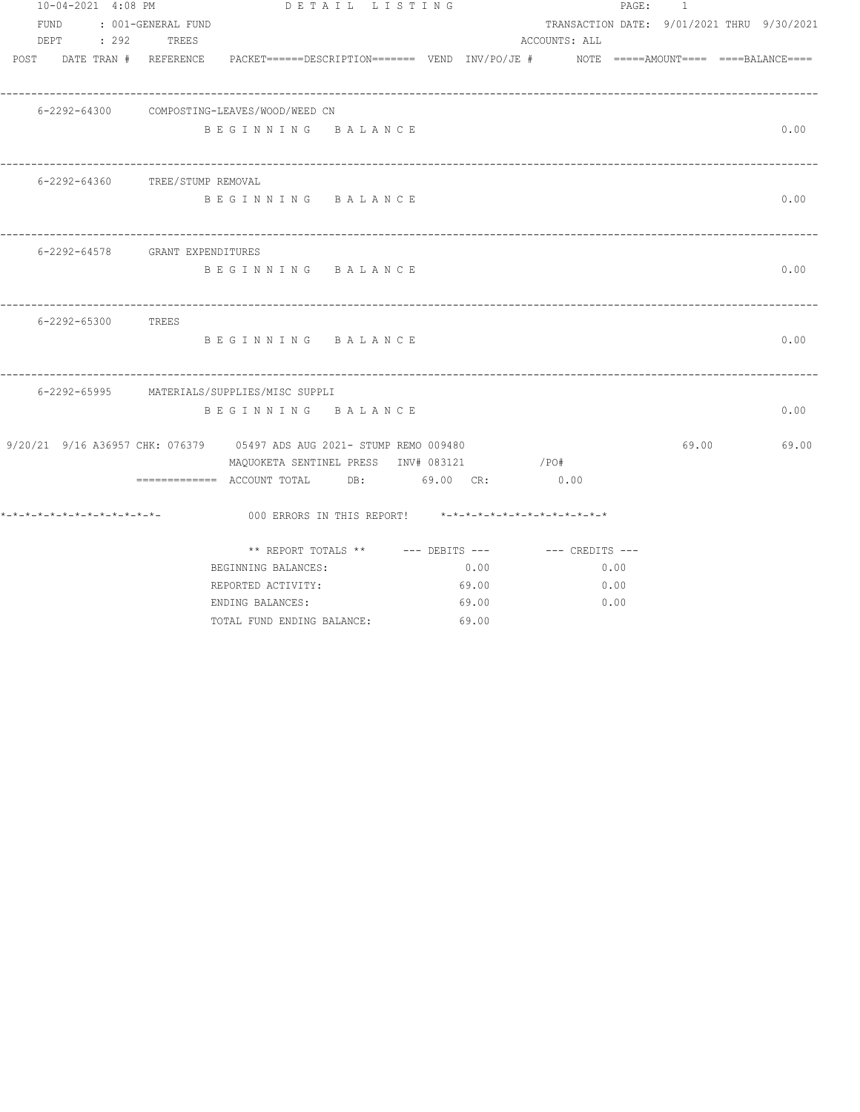| 10-04-2021 4:08 PM           | DETAIL LISTING                                                                              |       |               | PAGE:<br>$\mathbf{1}$                      |       |
|------------------------------|---------------------------------------------------------------------------------------------|-------|---------------|--------------------------------------------|-------|
| FUND<br>: 001-GENERAL FUND   |                                                                                             |       |               | TRANSACTION DATE: 9/01/2021 THRU 9/30/2021 |       |
| DEPT : 292 TREES             |                                                                                             |       | ACCOUNTS: ALL |                                            |       |
| POST DATE TRAN # REFERENCE   | PACKET======DESCRIPTION=======  VEND  INV/PO/JE #     NOTE =====AMOUNT====  ====BALANCE==== |       |               |                                            |       |
|                              |                                                                                             |       |               |                                            |       |
|                              | 6-2292-64300 COMPOSTING-LEAVES/WOOD/WEED CN                                                 |       |               |                                            |       |
|                              | BEGINNING BALANCE                                                                           |       |               |                                            | 0.00  |
|                              | 6-2292-64360 TREE/STUMP REMOVAL                                                             |       |               |                                            |       |
|                              | BEGINNING BALANCE                                                                           |       |               |                                            | 0.00  |
|                              |                                                                                             |       |               |                                            |       |
|                              | 6-2292-64578 GRANT EXPENDITURES                                                             |       |               |                                            |       |
|                              | BEGINNING BALANCE                                                                           |       |               |                                            | 0.00  |
| 6-2292-65300 TREES           |                                                                                             |       |               |                                            |       |
|                              | BEGINNING BALANCE                                                                           |       |               |                                            | 0.00  |
|                              | 6-2292-65995 MATERIALS/SUPPLIES/MISC SUPPLI                                                 |       |               |                                            |       |
|                              | BEGINNING BALANCE                                                                           |       |               |                                            | 0.00  |
|                              |                                                                                             |       |               |                                            |       |
|                              | 9/20/21 9/16 A36957 CHK: 076379 05497 ADS AUG 2021- STUMP REMO 009480                       |       |               | 69.00                                      | 69.00 |
|                              | MAQUOKETA SENTINEL PRESS INV# 083121 / PO#                                                  |       |               |                                            |       |
|                              | ============= ACCOUNT TOTAL DB: 69.00 CR: 0.00                                              |       |               |                                            |       |
| *-*-*-*-*-*-*-*-*-*-*-*-*-*- | 000 ERRORS IN THIS REPORT! *-*-*-*-*-*-*-*-*-*-*-*-*-*-                                     |       |               |                                            |       |
|                              | ** REPORT TOTALS ** --- DEBITS --- -- CREDITS ---                                           |       |               |                                            |       |
|                              | BEGINNING BALANCES:                                                                         | 0.00  | 0.00          |                                            |       |
|                              | REPORTED ACTIVITY:                                                                          | 69.00 | 0.00          |                                            |       |
|                              | ENDING BALANCES:                                                                            | 69.00 | 0.00          |                                            |       |
|                              | TOTAL FUND ENDING BALANCE:                                                                  | 69.00 |               |                                            |       |